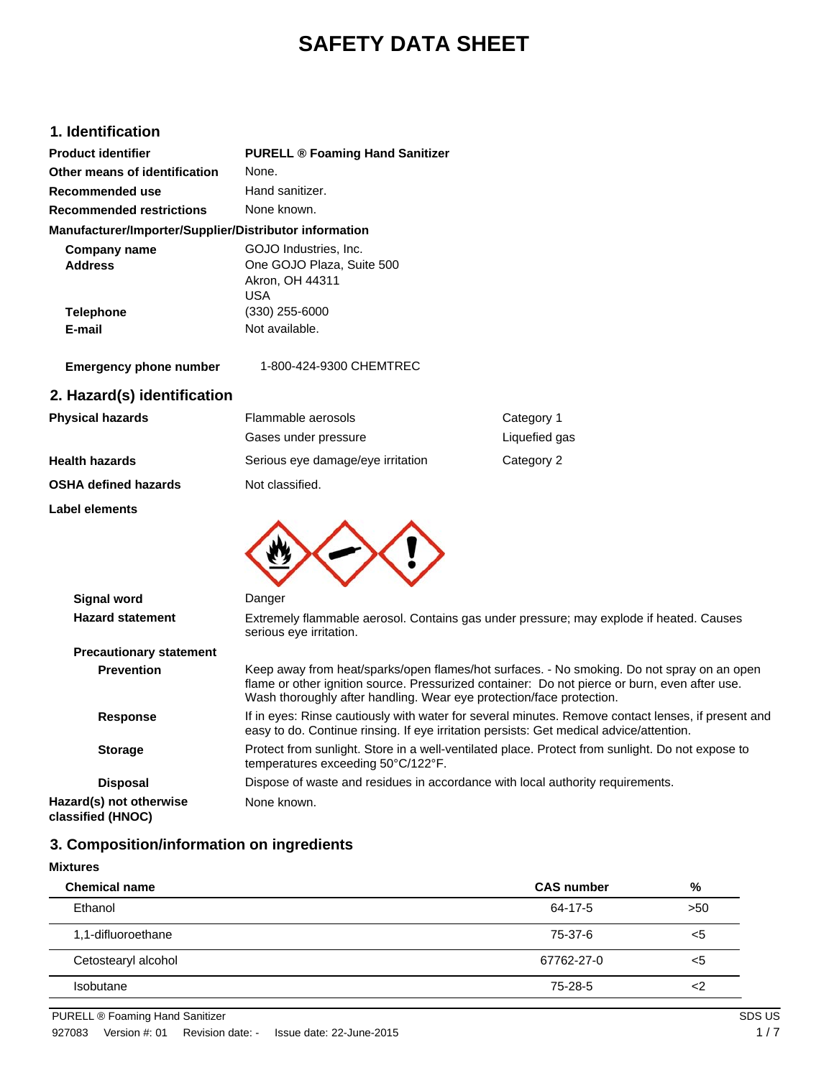## **SAFETY DATA SHEET**

### **1. Identification**

| <b>Product identifier</b>                              | <b>PURELL ® Foaming Hand Sanitizer</b>                                                                                                                                                                                                                              |               |  |
|--------------------------------------------------------|---------------------------------------------------------------------------------------------------------------------------------------------------------------------------------------------------------------------------------------------------------------------|---------------|--|
| Other means of identification                          | None.                                                                                                                                                                                                                                                               |               |  |
| Recommended use                                        | Hand sanitizer.                                                                                                                                                                                                                                                     |               |  |
| <b>Recommended restrictions</b>                        | None known.                                                                                                                                                                                                                                                         |               |  |
| Manufacturer/Importer/Supplier/Distributor information |                                                                                                                                                                                                                                                                     |               |  |
| <b>Company name</b><br><b>Address</b>                  | GOJO Industries, Inc.<br>One GOJO Plaza, Suite 500<br>Akron, OH 44311<br><b>USA</b>                                                                                                                                                                                 |               |  |
| <b>Telephone</b>                                       | $(330)$ 255-6000                                                                                                                                                                                                                                                    |               |  |
| E-mail                                                 | Not available.                                                                                                                                                                                                                                                      |               |  |
| <b>Emergency phone number</b>                          | 1-800-424-9300 CHEMTREC                                                                                                                                                                                                                                             |               |  |
| 2. Hazard(s) identification                            |                                                                                                                                                                                                                                                                     |               |  |
| <b>Physical hazards</b>                                | Flammable aerosols                                                                                                                                                                                                                                                  | Category 1    |  |
|                                                        | Gases under pressure                                                                                                                                                                                                                                                | Liquefied gas |  |
| Health hazards                                         | Serious eye damage/eye irritation                                                                                                                                                                                                                                   | Category 2    |  |
| OSHA defined hazards                                   | Not classified.                                                                                                                                                                                                                                                     |               |  |
| Label elements                                         |                                                                                                                                                                                                                                                                     |               |  |
| <b>Signal word</b>                                     | Danger                                                                                                                                                                                                                                                              |               |  |
| <b>Hazard statement</b>                                |                                                                                                                                                                                                                                                                     |               |  |
|                                                        | Extremely flammable aerosol. Contains gas under pressure; may explode if heated. Causes<br>serious eye irritation.                                                                                                                                                  |               |  |
| <b>Precautionary statement</b>                         |                                                                                                                                                                                                                                                                     |               |  |
| <b>Prevention</b>                                      | Keep away from heat/sparks/open flames/hot surfaces. - No smoking. Do not spray on an open<br>flame or other ignition source. Pressurized container: Do not pierce or burn, even after use.<br>Wash thoroughly after handling. Wear eye protection/face protection. |               |  |
| <b>Response</b>                                        | If in eyes: Rinse cautiously with water for several minutes. Remove contact lenses, if present and<br>easy to do. Continue rinsing. If eye irritation persists: Get medical advice/attention.                                                                       |               |  |
| <b>Storage</b>                                         | Protect from sunlight. Store in a well-ventilated place. Protect from sunlight. Do not expose to<br>temperatures exceeding 50°C/122°F.                                                                                                                              |               |  |
| <b>Disposal</b>                                        | Dispose of waste and residues in accordance with local authority requirements.                                                                                                                                                                                      |               |  |

# **classified (HNOC)**

**Hazard(s) not otherwise**

### **3. Composition/information on ingredients**

None known.

| <b>Mixtures</b>      |                   |       |
|----------------------|-------------------|-------|
| <b>Chemical name</b> | <b>CAS number</b> | %     |
| Ethanol              | 64-17-5           | >50   |
| 1,1-difluoroethane   | 75-37-6           | <5    |
| Cetostearyl alcohol  | 67762-27-0        | $<$ 5 |
| <b>Isobutane</b>     | 75-28-5           | <2    |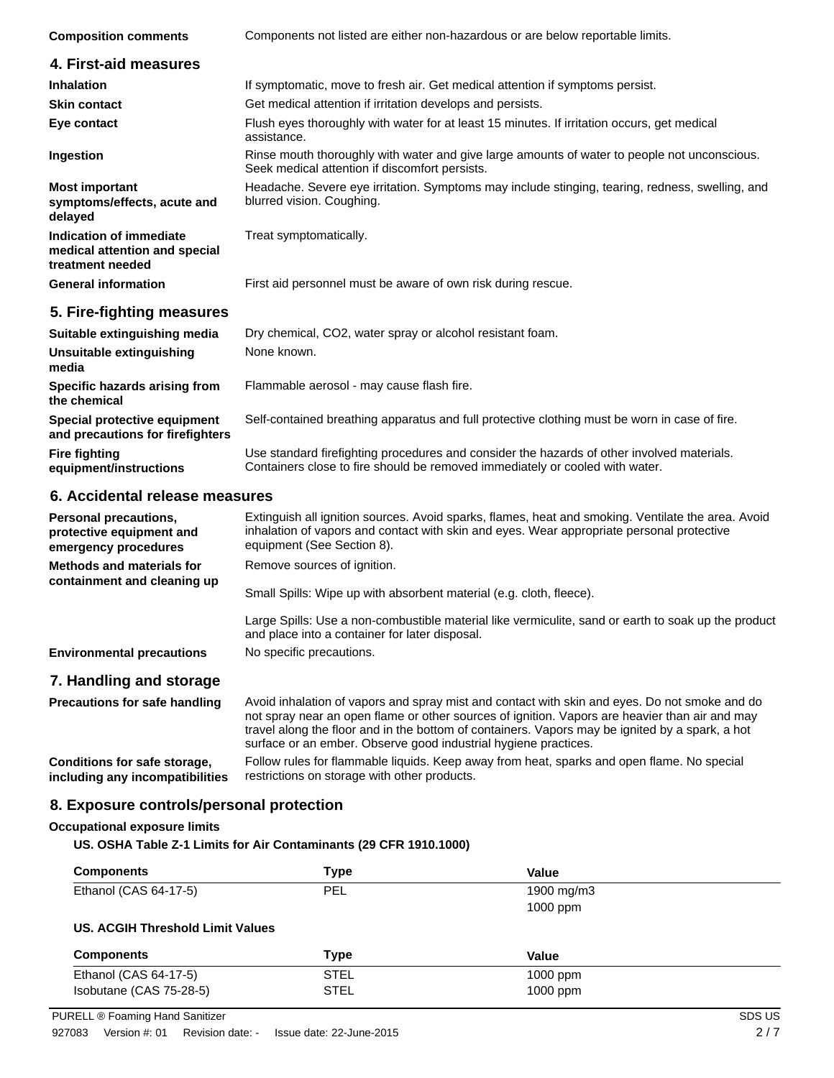| <b>Composition comments</b>                                                  | Components not listed are either non-hazardous or are below reportable limits.                                                                 |  |
|------------------------------------------------------------------------------|------------------------------------------------------------------------------------------------------------------------------------------------|--|
| 4. First-aid measures                                                        |                                                                                                                                                |  |
| <b>Inhalation</b>                                                            | If symptomatic, move to fresh air. Get medical attention if symptoms persist.                                                                  |  |
| <b>Skin contact</b>                                                          | Get medical attention if irritation develops and persists.                                                                                     |  |
| Eye contact                                                                  | Flush eyes thoroughly with water for at least 15 minutes. If irritation occurs, get medical<br>assistance.                                     |  |
| Ingestion                                                                    | Rinse mouth thoroughly with water and give large amounts of water to people not unconscious.<br>Seek medical attention if discomfort persists. |  |
| <b>Most important</b><br>symptoms/effects, acute and<br>delayed              | Headache. Severe eye irritation. Symptoms may include stinging, tearing, redness, swelling, and<br>blurred vision. Coughing.                   |  |
| Indication of immediate<br>medical attention and special<br>treatment needed | Treat symptomatically.                                                                                                                         |  |
| <b>General information</b>                                                   | First aid personnel must be aware of own risk during rescue.                                                                                   |  |
| 5. Fire-fighting measures                                                    |                                                                                                                                                |  |
| Suitable extinguishing media                                                 | Dry chemical, CO2, water spray or alcohol resistant foam.                                                                                      |  |
| Unsuitable extinguishing<br>media                                            | None known.                                                                                                                                    |  |
| Specific hazards arising from<br>the chemical                                | Flammable aerosol - may cause flash fire.                                                                                                      |  |
| Special protective equipment                                                 | Self-contained breathing apparatus and full protective clothing must be worn in case of fire.                                                  |  |

**and precautions for firefighters** Use standard firefighting procedures and consider the hazards of other involved materials. Containers close to fire should be removed immediately or cooled with water. **equipment/instructions**

#### **6. Accidental release measures**

**Fire fighting**

| Personal precautions,<br>protective equipment and<br>emergency procedures | Extinguish all ignition sources. Avoid sparks, flames, heat and smoking. Ventilate the area. Avoid<br>inhalation of vapors and contact with skin and eyes. Wear appropriate personal protective<br>equipment (See Section 8).                                                                      |
|---------------------------------------------------------------------------|----------------------------------------------------------------------------------------------------------------------------------------------------------------------------------------------------------------------------------------------------------------------------------------------------|
| <b>Methods and materials for</b><br>containment and cleaning up           | Remove sources of ignition.                                                                                                                                                                                                                                                                        |
|                                                                           | Small Spills: Wipe up with absorbent material (e.g. cloth, fleece).                                                                                                                                                                                                                                |
|                                                                           | Large Spills: Use a non-combustible material like vermiculite, sand or earth to soak up the product<br>and place into a container for later disposal.                                                                                                                                              |
| <b>Environmental precautions</b>                                          | No specific precautions.                                                                                                                                                                                                                                                                           |
| 7. Handling and storage                                                   |                                                                                                                                                                                                                                                                                                    |
| <b>Precautions for safe handling</b>                                      | Avoid inhalation of vapors and spray mist and contact with skin and eyes. Do not smoke and do<br>not spray near an open flame or other sources of ignition. Vapors are heavier than air and may<br>travel along the floor and in the bottom of containers. Vapors may be ignited by a spark, a hot |

**Conditions for safe storage, including any incompatibilities**

surface or an ember. Observe good industrial hygiene practices. Follow rules for flammable liquids. Keep away from heat, sparks and open flame. No special restrictions on storage with other products.

### **8. Exposure controls/personal protection**

#### **Occupational exposure limits**

**US. OSHA Table Z-1 Limits for Air Contaminants (29 CFR 1910.1000)**

| <b>Components</b>                | Type        | Value      |  |
|----------------------------------|-------------|------------|--|
| Ethanol (CAS 64-17-5)            | <b>PEL</b>  | 1900 mg/m3 |  |
|                                  |             | $1000$ ppm |  |
| US. ACGIH Threshold Limit Values |             |            |  |
|                                  |             |            |  |
| <b>Components</b>                | <b>Type</b> | Value      |  |
| Ethanol (CAS 64-17-5)            | <b>STEL</b> | $1000$ ppm |  |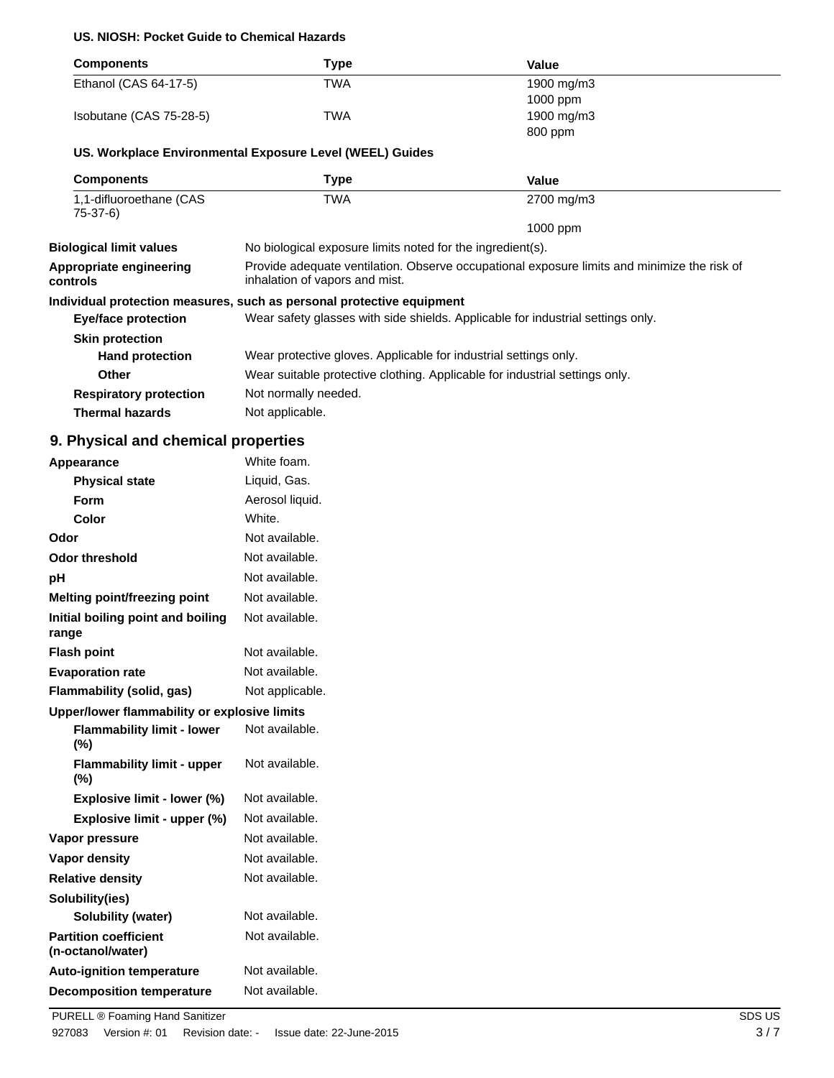#### **US. NIOSH: Pocket Guide to Chemical Hazards**

| <b>Components</b>                                 | <b>Type</b>                                                                                                                                               | Value                                                                           |  |  |
|---------------------------------------------------|-----------------------------------------------------------------------------------------------------------------------------------------------------------|---------------------------------------------------------------------------------|--|--|
| Ethanol (CAS 64-17-5)                             | <b>TWA</b>                                                                                                                                                | 1900 mg/m3                                                                      |  |  |
|                                                   |                                                                                                                                                           | 1000 ppm                                                                        |  |  |
| Isobutane (CAS 75-28-5)                           | <b>TWA</b>                                                                                                                                                | 1900 mg/m3                                                                      |  |  |
|                                                   |                                                                                                                                                           | 800 ppm                                                                         |  |  |
|                                                   | US. Workplace Environmental Exposure Level (WEEL) Guides                                                                                                  |                                                                                 |  |  |
| <b>Components</b>                                 | <b>Type</b>                                                                                                                                               | <b>Value</b>                                                                    |  |  |
| 1,1-difluoroethane (CAS<br>$75-37-6$              | <b>TWA</b>                                                                                                                                                | 2700 mg/m3                                                                      |  |  |
|                                                   |                                                                                                                                                           | 1000 ppm                                                                        |  |  |
| <b>Biological limit values</b>                    | No biological exposure limits noted for the ingredient(s).<br>Provide adequate ventilation. Observe occupational exposure limits and minimize the risk of |                                                                                 |  |  |
| Appropriate engineering<br>controls               | inhalation of vapors and mist.                                                                                                                            |                                                                                 |  |  |
|                                                   | Individual protection measures, such as personal protective equipment                                                                                     |                                                                                 |  |  |
| <b>Eye/face protection</b>                        |                                                                                                                                                           | Wear safety glasses with side shields. Applicable for industrial settings only. |  |  |
| <b>Skin protection</b>                            |                                                                                                                                                           |                                                                                 |  |  |
| <b>Hand protection</b>                            | Wear protective gloves. Applicable for industrial settings only.                                                                                          |                                                                                 |  |  |
| <b>Other</b>                                      | Wear suitable protective clothing. Applicable for industrial settings only.                                                                               |                                                                                 |  |  |
| <b>Respiratory protection</b>                     | Not normally needed.                                                                                                                                      |                                                                                 |  |  |
| <b>Thermal hazards</b>                            | Not applicable.                                                                                                                                           |                                                                                 |  |  |
| 9. Physical and chemical properties               |                                                                                                                                                           |                                                                                 |  |  |
| Appearance                                        | White foam.                                                                                                                                               |                                                                                 |  |  |
| <b>Physical state</b>                             | Liquid, Gas.                                                                                                                                              |                                                                                 |  |  |
| Form                                              | Aerosol liquid.                                                                                                                                           |                                                                                 |  |  |
| Color                                             | White.                                                                                                                                                    |                                                                                 |  |  |
| Odor                                              | Not available.                                                                                                                                            |                                                                                 |  |  |
| <b>Odor threshold</b>                             | Not available.                                                                                                                                            |                                                                                 |  |  |
| pH                                                | Not available.                                                                                                                                            |                                                                                 |  |  |
| Melting point/freezing point                      | Not available.                                                                                                                                            |                                                                                 |  |  |
| Initial boiling point and boiling<br>range        | Not available.                                                                                                                                            |                                                                                 |  |  |
| <b>Flash point</b>                                | Not available.                                                                                                                                            |                                                                                 |  |  |
| <b>Evaporation rate</b>                           | Not available.                                                                                                                                            |                                                                                 |  |  |
| Flammability (solid, gas)                         | Not applicable.                                                                                                                                           |                                                                                 |  |  |
| Upper/lower flammability or explosive limits      |                                                                                                                                                           |                                                                                 |  |  |
| <b>Flammability limit - lower</b><br>(%)          | Not available.                                                                                                                                            |                                                                                 |  |  |
| <b>Flammability limit - upper</b><br>$(\%)$       | Not available.                                                                                                                                            |                                                                                 |  |  |
| Explosive limit - lower (%)                       | Not available.                                                                                                                                            |                                                                                 |  |  |
| Explosive limit - upper (%)                       | Not available.                                                                                                                                            |                                                                                 |  |  |
| Vapor pressure                                    | Not available.                                                                                                                                            |                                                                                 |  |  |
| Vapor density                                     | Not available.                                                                                                                                            |                                                                                 |  |  |
| <b>Relative density</b>                           | Not available.                                                                                                                                            |                                                                                 |  |  |
| Solubility(ies)                                   |                                                                                                                                                           |                                                                                 |  |  |
| Solubility (water)                                | Not available.                                                                                                                                            |                                                                                 |  |  |
| <b>Partition coefficient</b><br>(n-octanol/water) | Not available.                                                                                                                                            |                                                                                 |  |  |
| <b>Auto-ignition temperature</b>                  | Not available.                                                                                                                                            |                                                                                 |  |  |
| <b>Decomposition temperature</b>                  | Not available.                                                                                                                                            |                                                                                 |  |  |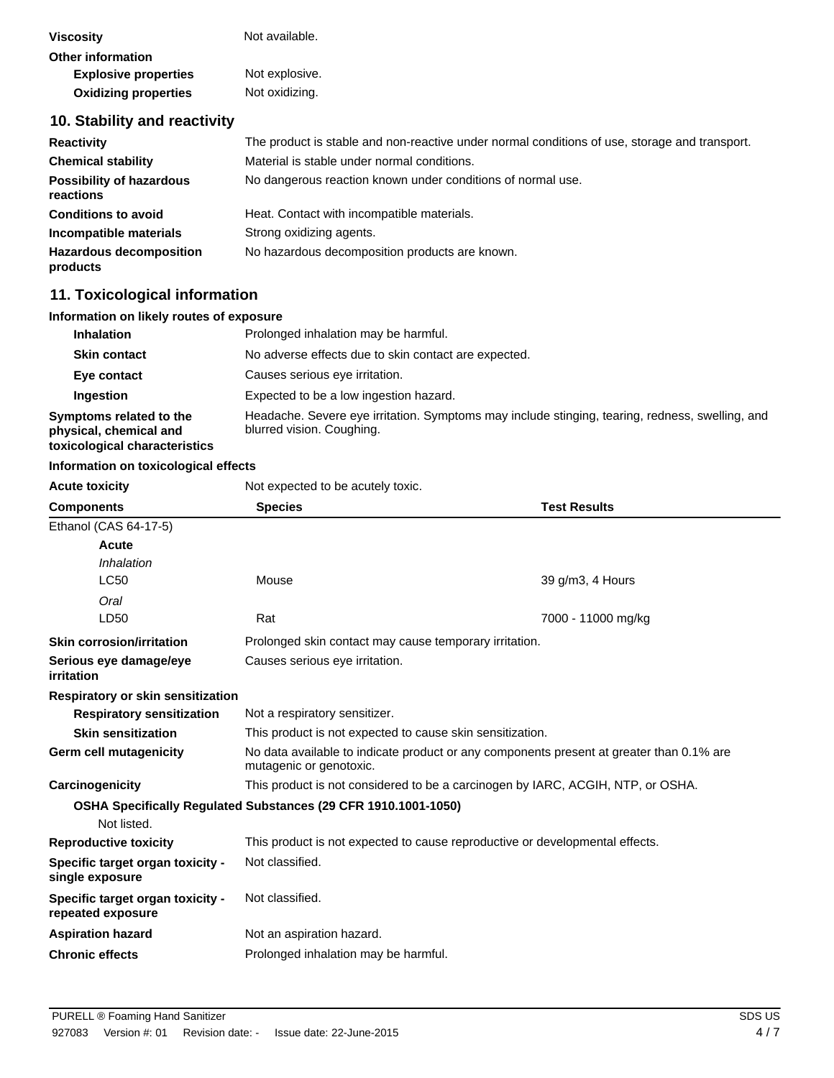| <b>Viscosity</b>                             | Not available.                                                                                |
|----------------------------------------------|-----------------------------------------------------------------------------------------------|
| Other information                            |                                                                                               |
| <b>Explosive properties</b>                  | Not explosive.                                                                                |
| <b>Oxidizing properties</b>                  | Not oxidizing.                                                                                |
| 10. Stability and reactivity                 |                                                                                               |
| <b>Reactivity</b>                            | The product is stable and non-reactive under normal conditions of use, storage and transport. |
| <b>Chemical stability</b>                    | Material is stable under normal conditions.                                                   |
| <b>Possibility of hazardous</b><br>reactions | No dangerous reaction known under conditions of normal use.                                   |
| <b>Conditions to avoid</b>                   | Heat. Contact with incompatible materials.                                                    |
| Incompatible materials                       | Strong oxidizing agents.                                                                      |

### **11. Toxicological information**

**products**

### **Information on likely routes of exposure**

| <b>Inhalation</b>                                                                  | Prolonged inhalation may be harmful.                                                                                         |
|------------------------------------------------------------------------------------|------------------------------------------------------------------------------------------------------------------------------|
| <b>Skin contact</b>                                                                | No adverse effects due to skin contact are expected.                                                                         |
| Eye contact                                                                        | Causes serious eye irritation.                                                                                               |
| Ingestion                                                                          | Expected to be a low ingestion hazard.                                                                                       |
| Symptoms related to the<br>physical, chemical and<br>toxicological characteristics | Headache. Severe eye irritation. Symptoms may include stinging, tearing, redness, swelling, and<br>blurred vision. Coughing. |

#### **Information on toxicological effects**

**Acute toxicity Not expected to be acutely toxic.** 

Hazardous decomposition No hazardous decomposition products are known.

| <b>Components</b>                                     | <b>Test Results</b><br><b>Species</b>                                                                               |                                                        |  |  |
|-------------------------------------------------------|---------------------------------------------------------------------------------------------------------------------|--------------------------------------------------------|--|--|
| Ethanol (CAS 64-17-5)                                 |                                                                                                                     |                                                        |  |  |
| Acute                                                 |                                                                                                                     |                                                        |  |  |
| Inhalation                                            |                                                                                                                     |                                                        |  |  |
| <b>LC50</b>                                           | Mouse                                                                                                               | 39 g/m3, 4 Hours                                       |  |  |
| Oral                                                  |                                                                                                                     |                                                        |  |  |
| LD50                                                  | Rat                                                                                                                 | 7000 - 11000 mg/kg                                     |  |  |
| <b>Skin corrosion/irritation</b>                      |                                                                                                                     | Prolonged skin contact may cause temporary irritation. |  |  |
| Serious eye damage/eye<br>irritation                  | Causes serious eye irritation.                                                                                      |                                                        |  |  |
| Respiratory or skin sensitization                     |                                                                                                                     |                                                        |  |  |
| <b>Respiratory sensitization</b>                      | Not a respiratory sensitizer.                                                                                       |                                                        |  |  |
| <b>Skin sensitization</b>                             | This product is not expected to cause skin sensitization.                                                           |                                                        |  |  |
| Germ cell mutagenicity                                | No data available to indicate product or any components present at greater than 0.1% are<br>mutagenic or genotoxic. |                                                        |  |  |
| Carcinogenicity                                       | This product is not considered to be a carcinogen by IARC, ACGIH, NTP, or OSHA.                                     |                                                        |  |  |
|                                                       | OSHA Specifically Regulated Substances (29 CFR 1910.1001-1050)                                                      |                                                        |  |  |
| Not listed.                                           |                                                                                                                     |                                                        |  |  |
| <b>Reproductive toxicity</b>                          | This product is not expected to cause reproductive or developmental effects.                                        |                                                        |  |  |
| Specific target organ toxicity -<br>single exposure   | Not classified.                                                                                                     |                                                        |  |  |
| Specific target organ toxicity -<br>repeated exposure | Not classified.                                                                                                     |                                                        |  |  |
| <b>Aspiration hazard</b>                              | Not an aspiration hazard.                                                                                           |                                                        |  |  |
| <b>Chronic effects</b>                                | Prolonged inhalation may be harmful.                                                                                |                                                        |  |  |
|                                                       |                                                                                                                     |                                                        |  |  |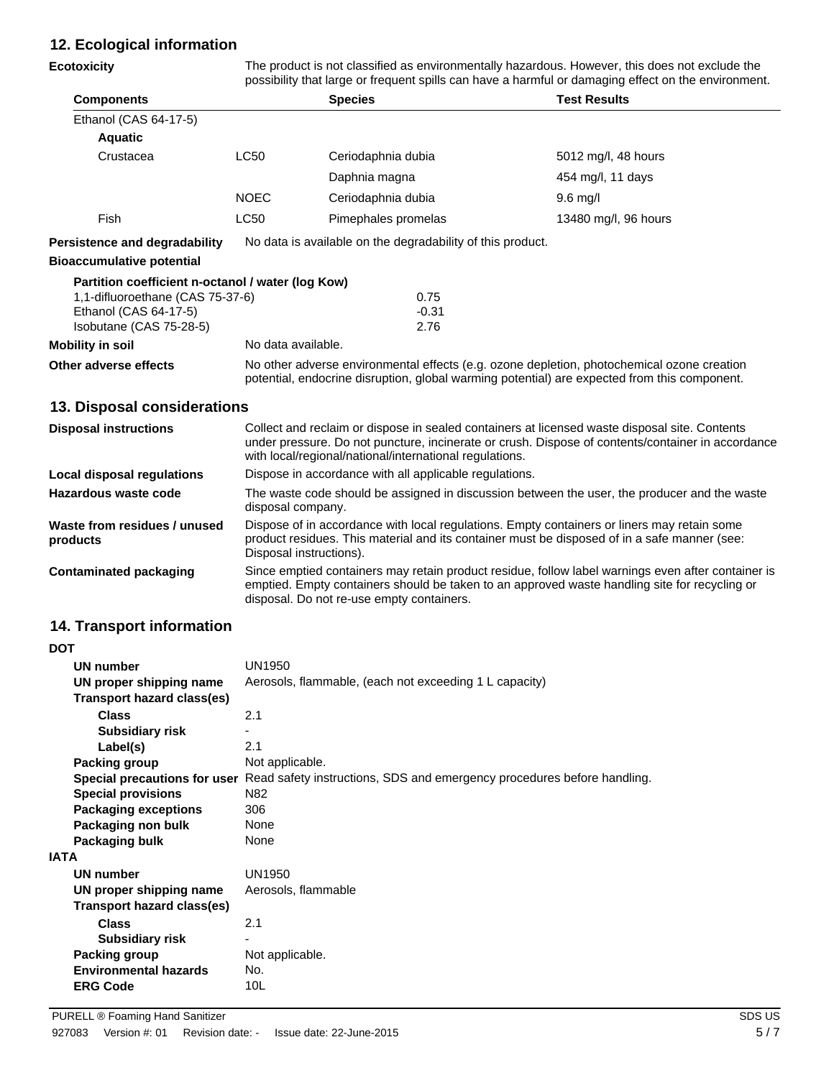### **12. Ecological information**

| <b>Ecotoxicity</b>                                                                                                                        | The product is not classified as environmentally hazardous. However, this does not exclude the<br>possibility that large or frequent spills can have a harmful or damaging effect on the environment.                  |                                                                                                                                                                                                                                                               |                                                                                                                                                                                                     |  |
|-------------------------------------------------------------------------------------------------------------------------------------------|------------------------------------------------------------------------------------------------------------------------------------------------------------------------------------------------------------------------|---------------------------------------------------------------------------------------------------------------------------------------------------------------------------------------------------------------------------------------------------------------|-----------------------------------------------------------------------------------------------------------------------------------------------------------------------------------------------------|--|
| <b>Components</b>                                                                                                                         |                                                                                                                                                                                                                        | <b>Species</b>                                                                                                                                                                                                                                                | <b>Test Results</b>                                                                                                                                                                                 |  |
| Ethanol (CAS 64-17-5)                                                                                                                     |                                                                                                                                                                                                                        |                                                                                                                                                                                                                                                               |                                                                                                                                                                                                     |  |
| <b>Aquatic</b>                                                                                                                            |                                                                                                                                                                                                                        |                                                                                                                                                                                                                                                               |                                                                                                                                                                                                     |  |
| Crustacea                                                                                                                                 | <b>LC50</b>                                                                                                                                                                                                            | Ceriodaphnia dubia                                                                                                                                                                                                                                            | 5012 mg/l, 48 hours                                                                                                                                                                                 |  |
|                                                                                                                                           |                                                                                                                                                                                                                        | Daphnia magna                                                                                                                                                                                                                                                 | 454 mg/l, 11 days                                                                                                                                                                                   |  |
|                                                                                                                                           | <b>NOEC</b>                                                                                                                                                                                                            | Ceriodaphnia dubia                                                                                                                                                                                                                                            | $9.6$ mg/l                                                                                                                                                                                          |  |
| Fish                                                                                                                                      | <b>LC50</b>                                                                                                                                                                                                            | Pimephales promelas                                                                                                                                                                                                                                           | 13480 mg/l, 96 hours                                                                                                                                                                                |  |
| <b>Persistence and degradability</b>                                                                                                      |                                                                                                                                                                                                                        | No data is available on the degradability of this product.                                                                                                                                                                                                    |                                                                                                                                                                                                     |  |
| <b>Bioaccumulative potential</b>                                                                                                          |                                                                                                                                                                                                                        |                                                                                                                                                                                                                                                               |                                                                                                                                                                                                     |  |
| Partition coefficient n-octanol / water (log Kow)<br>1,1-difluoroethane (CAS 75-37-6)<br>Ethanol (CAS 64-17-5)<br>Isobutane (CAS 75-28-5) |                                                                                                                                                                                                                        | 0.75<br>$-0.31$<br>2.76                                                                                                                                                                                                                                       |                                                                                                                                                                                                     |  |
| <b>Mobility in soil</b>                                                                                                                   |                                                                                                                                                                                                                        | No data available.                                                                                                                                                                                                                                            |                                                                                                                                                                                                     |  |
| Other adverse effects                                                                                                                     |                                                                                                                                                                                                                        | No other adverse environmental effects (e.g. ozone depletion, photochemical ozone creation<br>potential, endocrine disruption, global warming potential) are expected from this component.                                                                    |                                                                                                                                                                                                     |  |
| 13. Disposal considerations                                                                                                               |                                                                                                                                                                                                                        |                                                                                                                                                                                                                                                               |                                                                                                                                                                                                     |  |
| <b>Disposal instructions</b>                                                                                                              |                                                                                                                                                                                                                        | Collect and reclaim or dispose in sealed containers at licensed waste disposal site. Contents<br>under pressure. Do not puncture, incinerate or crush. Dispose of contents/container in accordance<br>with local/regional/national/international regulations. |                                                                                                                                                                                                     |  |
| Local disposal regulations                                                                                                                |                                                                                                                                                                                                                        | Dispose in accordance with all applicable regulations.                                                                                                                                                                                                        |                                                                                                                                                                                                     |  |
| Hazardous waste code                                                                                                                      |                                                                                                                                                                                                                        | The waste code should be assigned in discussion between the user, the producer and the waste<br>disposal company.                                                                                                                                             |                                                                                                                                                                                                     |  |
| Waste from residues / unused<br>products                                                                                                  | Dispose of in accordance with local regulations. Empty containers or liners may retain some<br>product residues. This material and its container must be disposed of in a safe manner (see:<br>Disposal instructions). |                                                                                                                                                                                                                                                               |                                                                                                                                                                                                     |  |
| <b>Contaminated packaging</b>                                                                                                             |                                                                                                                                                                                                                        | disposal. Do not re-use empty containers.                                                                                                                                                                                                                     | Since emptied containers may retain product residue, follow label warnings even after container is<br>emptied. Empty containers should be taken to an approved waste handling site for recycling or |  |

### **14. Transport information**

| <b>DOT</b>                        |                                                                                                      |
|-----------------------------------|------------------------------------------------------------------------------------------------------|
| UN number                         | <b>UN1950</b>                                                                                        |
| UN proper shipping name           | Aerosols, flammable, (each not exceeding 1 L capacity)                                               |
| <b>Transport hazard class(es)</b> |                                                                                                      |
| <b>Class</b>                      | 2.1                                                                                                  |
| <b>Subsidiary risk</b>            |                                                                                                      |
| Label(s)                          | 2.1                                                                                                  |
| Packing group                     | Not applicable.                                                                                      |
|                                   | Special precautions for user Read safety instructions, SDS and emergency procedures before handling. |
| <b>Special provisions</b>         | N <sub>82</sub>                                                                                      |
| <b>Packaging exceptions</b>       | 306                                                                                                  |
| Packaging non bulk                | None                                                                                                 |
| Packaging bulk                    | None                                                                                                 |
| <b>IATA</b>                       |                                                                                                      |
| <b>UN number</b>                  | <b>UN1950</b>                                                                                        |
| UN proper shipping name           | Aerosols, flammable                                                                                  |
| Transport hazard class(es)        |                                                                                                      |
| <b>Class</b>                      | 2.1                                                                                                  |
| <b>Subsidiary risk</b>            |                                                                                                      |
| Packing group                     | Not applicable.                                                                                      |
| <b>Environmental hazards</b>      | No.                                                                                                  |
| <b>ERG Code</b>                   | 10 <sub>L</sub>                                                                                      |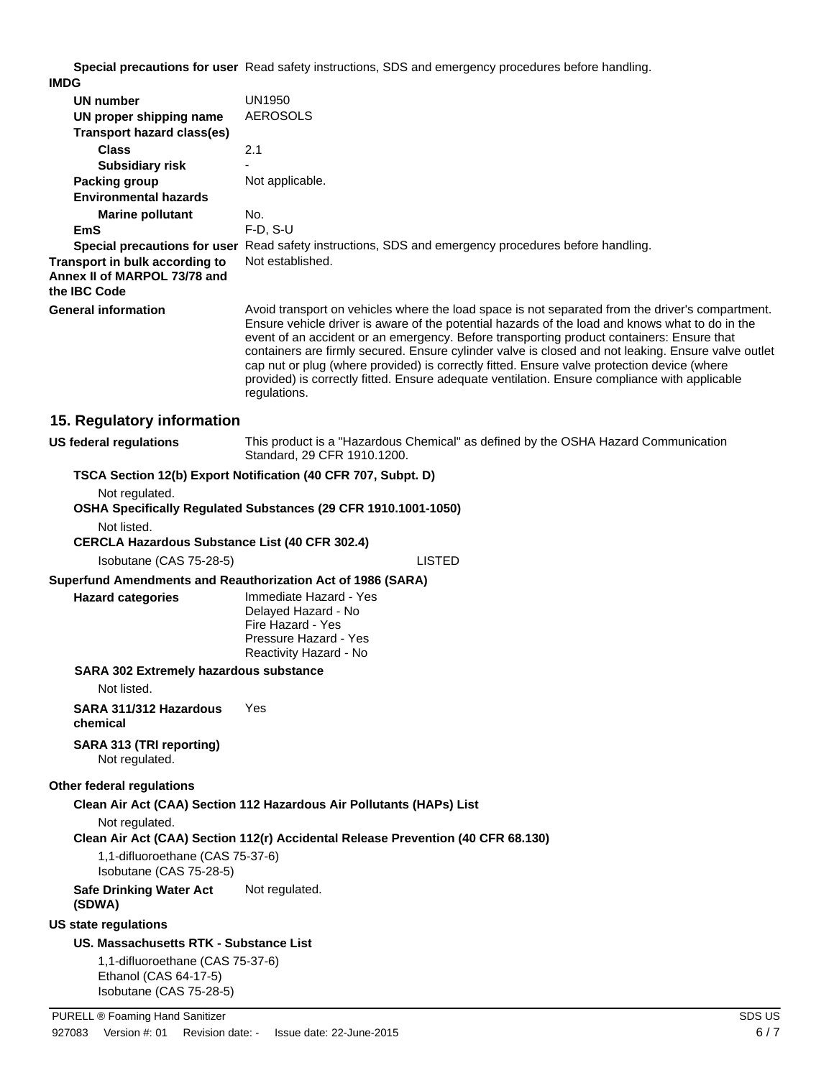**Special precautions for user** Read safety instructions, SDS and emergency procedures before handling.

| <b>IMDG</b>                                                                    |                                                                                                                                                                                                                                                                                                                                                                                                                                                                                                                                                                                                                         |
|--------------------------------------------------------------------------------|-------------------------------------------------------------------------------------------------------------------------------------------------------------------------------------------------------------------------------------------------------------------------------------------------------------------------------------------------------------------------------------------------------------------------------------------------------------------------------------------------------------------------------------------------------------------------------------------------------------------------|
| UN number                                                                      | <b>UN1950</b>                                                                                                                                                                                                                                                                                                                                                                                                                                                                                                                                                                                                           |
| UN proper shipping name<br><b>Transport hazard class(es)</b>                   | <b>AEROSOLS</b>                                                                                                                                                                                                                                                                                                                                                                                                                                                                                                                                                                                                         |
| <b>Class</b>                                                                   | 2.1                                                                                                                                                                                                                                                                                                                                                                                                                                                                                                                                                                                                                     |
| <b>Subsidiary risk</b>                                                         |                                                                                                                                                                                                                                                                                                                                                                                                                                                                                                                                                                                                                         |
| <b>Packing group</b>                                                           | Not applicable.                                                                                                                                                                                                                                                                                                                                                                                                                                                                                                                                                                                                         |
| <b>Environmental hazards</b>                                                   |                                                                                                                                                                                                                                                                                                                                                                                                                                                                                                                                                                                                                         |
| <b>Marine pollutant</b>                                                        | No.                                                                                                                                                                                                                                                                                                                                                                                                                                                                                                                                                                                                                     |
| EmS                                                                            | $F-D$ , $S-U$                                                                                                                                                                                                                                                                                                                                                                                                                                                                                                                                                                                                           |
|                                                                                | Special precautions for user Read safety instructions, SDS and emergency procedures before handling.                                                                                                                                                                                                                                                                                                                                                                                                                                                                                                                    |
| Transport in bulk according to<br>Annex II of MARPOL 73/78 and<br>the IBC Code | Not established.                                                                                                                                                                                                                                                                                                                                                                                                                                                                                                                                                                                                        |
| <b>General information</b>                                                     | Avoid transport on vehicles where the load space is not separated from the driver's compartment.<br>Ensure vehicle driver is aware of the potential hazards of the load and knows what to do in the<br>event of an accident or an emergency. Before transporting product containers: Ensure that<br>containers are firmly secured. Ensure cylinder valve is closed and not leaking. Ensure valve outlet<br>cap nut or plug (where provided) is correctly fitted. Ensure valve protection device (where<br>provided) is correctly fitted. Ensure adequate ventilation. Ensure compliance with applicable<br>regulations. |
| 15. Regulatory information                                                     |                                                                                                                                                                                                                                                                                                                                                                                                                                                                                                                                                                                                                         |
| <b>US federal regulations</b>                                                  | This product is a "Hazardous Chemical" as defined by the OSHA Hazard Communication<br>Standard, 29 CFR 1910.1200.                                                                                                                                                                                                                                                                                                                                                                                                                                                                                                       |
|                                                                                | TSCA Section 12(b) Export Notification (40 CFR 707, Subpt. D)                                                                                                                                                                                                                                                                                                                                                                                                                                                                                                                                                           |
| Not regulated.                                                                 | OSHA Specifically Regulated Substances (29 CFR 1910.1001-1050)                                                                                                                                                                                                                                                                                                                                                                                                                                                                                                                                                          |
| Not listed.                                                                    |                                                                                                                                                                                                                                                                                                                                                                                                                                                                                                                                                                                                                         |
| <b>CERCLA Hazardous Substance List (40 CFR 302.4)</b>                          |                                                                                                                                                                                                                                                                                                                                                                                                                                                                                                                                                                                                                         |
| Isobutane (CAS 75-28-5)                                                        | <b>LISTED</b>                                                                                                                                                                                                                                                                                                                                                                                                                                                                                                                                                                                                           |
| Superfund Amendments and Reauthorization Act of 1986 (SARA)                    |                                                                                                                                                                                                                                                                                                                                                                                                                                                                                                                                                                                                                         |
| <b>Hazard categories</b>                                                       | Immediate Hazard - Yes<br>Delayed Hazard - No<br>Fire Hazard - Yes<br>Pressure Hazard - Yes<br>Reactivity Hazard - No                                                                                                                                                                                                                                                                                                                                                                                                                                                                                                   |
| <b>SARA 302 Extremely hazardous substance</b><br>Not listed.                   |                                                                                                                                                                                                                                                                                                                                                                                                                                                                                                                                                                                                                         |
| SARA 311/312 Hazardous<br>chemical                                             | Yes                                                                                                                                                                                                                                                                                                                                                                                                                                                                                                                                                                                                                     |
| SARA 313 (TRI reporting)<br>Not regulated.                                     |                                                                                                                                                                                                                                                                                                                                                                                                                                                                                                                                                                                                                         |
| Other federal regulations                                                      |                                                                                                                                                                                                                                                                                                                                                                                                                                                                                                                                                                                                                         |
|                                                                                | Clean Air Act (CAA) Section 112 Hazardous Air Pollutants (HAPs) List                                                                                                                                                                                                                                                                                                                                                                                                                                                                                                                                                    |
| Not regulated.                                                                 | Clean Air Act (CAA) Section 112(r) Accidental Release Prevention (40 CFR 68.130)                                                                                                                                                                                                                                                                                                                                                                                                                                                                                                                                        |
| 1,1-difluoroethane (CAS 75-37-6)<br>Isobutane (CAS 75-28-5)                    |                                                                                                                                                                                                                                                                                                                                                                                                                                                                                                                                                                                                                         |
| <b>Safe Drinking Water Act</b><br>(SDWA)                                       | Not regulated.                                                                                                                                                                                                                                                                                                                                                                                                                                                                                                                                                                                                          |
|                                                                                |                                                                                                                                                                                                                                                                                                                                                                                                                                                                                                                                                                                                                         |

### **US state regulations**

### **US. Massachusetts RTK - Substance List**

1,1-difluoroethane (CAS 75-37-6) Ethanol (CAS 64-17-5) Isobutane (CAS 75-28-5)